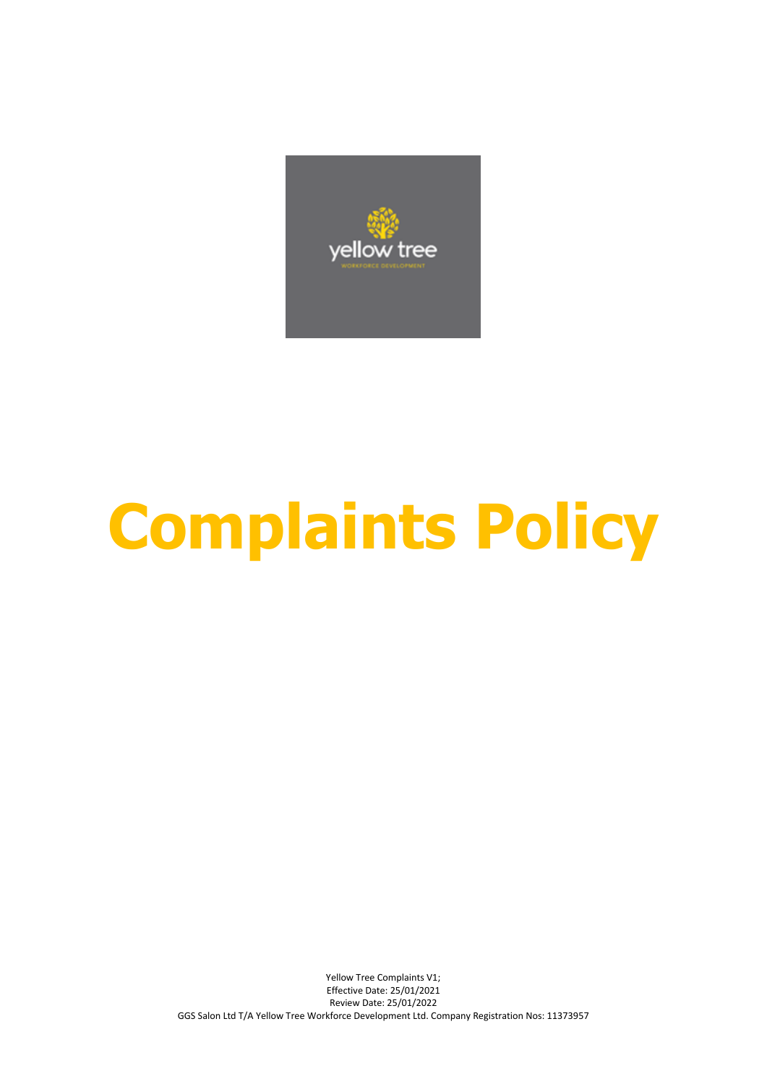

# **Complaints Policy**

Yellow Tree Complaints V1; Effective Date: 25/01/2021 Review Date: 25/01/2022 GGS Salon Ltd T/A Yellow Tree Workforce Development Ltd. Company Registration Nos: 11373957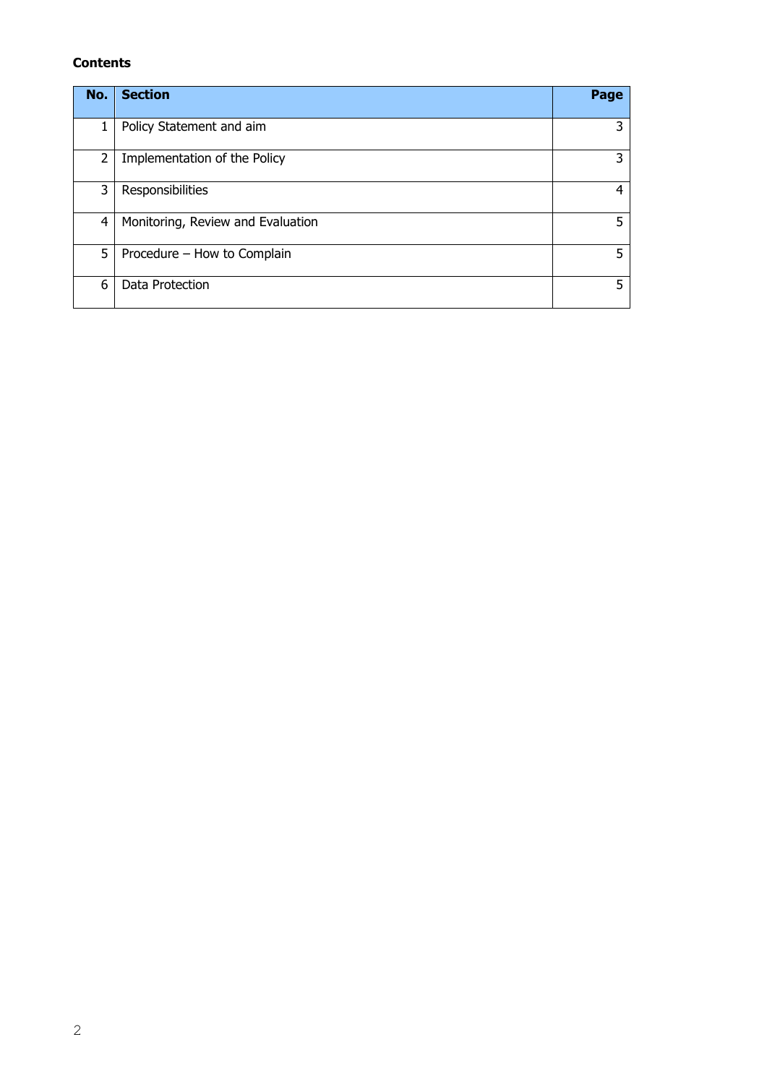# **Contents**

| No.            | <b>Section</b>                    | Page |
|----------------|-----------------------------------|------|
| 1              | Policy Statement and aim          | 3    |
| 2              | Implementation of the Policy      | 3    |
| 3              | Responsibilities                  | 4    |
| $\overline{4}$ | Monitoring, Review and Evaluation | 5    |
| 5              | Procedure - How to Complain       | 5    |
| 6              | Data Protection                   | 5    |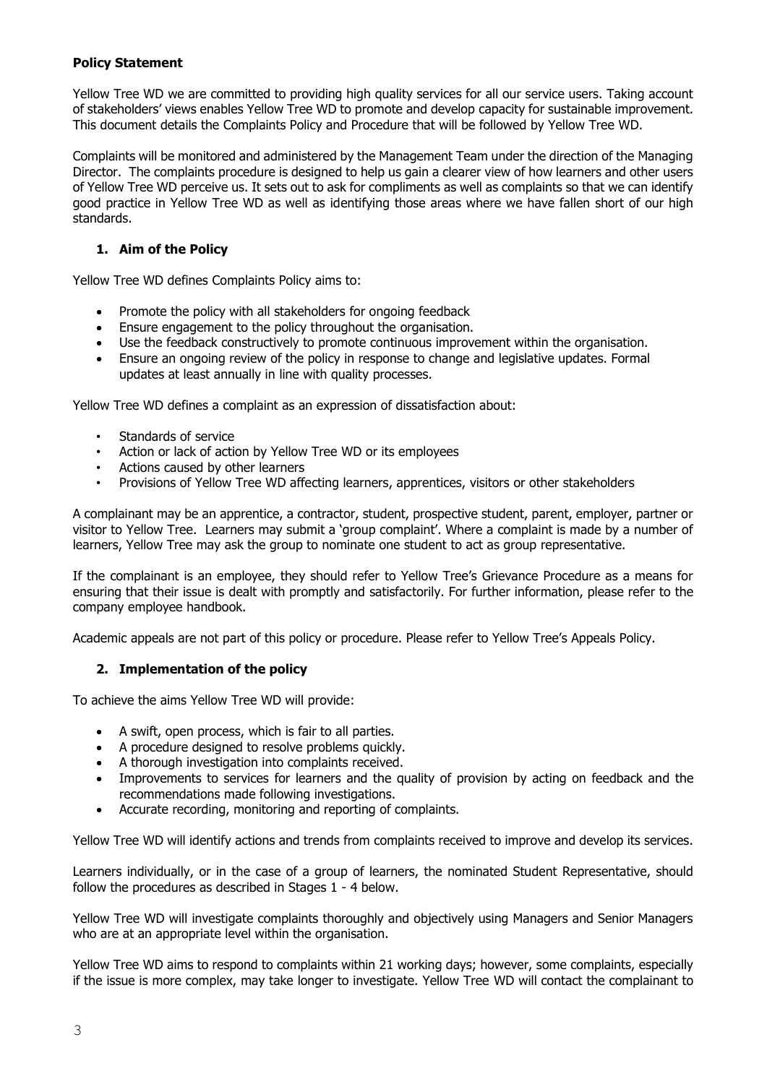# **Policy Statement**

Yellow Tree WD we are committed to providing high quality services for all our service users. Taking account of stakeholders' views enables Yellow Tree WD to promote and develop capacity for sustainable improvement. This document details the Complaints Policy and Procedure that will be followed by Yellow Tree WD.

Complaints will be monitored and administered by the Management Team under the direction of the Managing Director. The complaints procedure is designed to help us gain a clearer view of how learners and other users of Yellow Tree WD perceive us. It sets out to ask for compliments as well as complaints so that we can identify good practice in Yellow Tree WD as well as identifying those areas where we have fallen short of our high standards.

# **1. Aim of the Policy**

Yellow Tree WD defines Complaints Policy aims to:

- Promote the policy with all stakeholders for ongoing feedback
- Ensure engagement to the policy throughout the organisation.
- Use the feedback constructively to promote continuous improvement within the organisation.
- Ensure an ongoing review of the policy in response to change and legislative updates. Formal updates at least annually in line with quality processes.

Yellow Tree WD defines a complaint as an expression of dissatisfaction about:

- Standards of service
- Action or lack of action by Yellow Tree WD or its employees
- Actions caused by other learners
- Provisions of Yellow Tree WD affecting learners, apprentices, visitors or other stakeholders

A complainant may be an apprentice, a contractor, student, prospective student, parent, employer, partner or visitor to Yellow Tree. Learners may submit a 'group complaint'. Where a complaint is made by a number of learners, Yellow Tree may ask the group to nominate one student to act as group representative.

If the complainant is an employee, they should refer to Yellow Tree's Grievance Procedure as a means for ensuring that their issue is dealt with promptly and satisfactorily. For further information, please refer to the company employee handbook.

Academic appeals are not part of this policy or procedure. Please refer to Yellow Tree's Appeals Policy.

# **2. Implementation of the policy**

To achieve the aims Yellow Tree WD will provide:

- A swift, open process, which is fair to all parties.
- A procedure designed to resolve problems quickly.
- A thorough investigation into complaints received.
- Improvements to services for learners and the quality of provision by acting on feedback and the recommendations made following investigations.
- Accurate recording, monitoring and reporting of complaints.

Yellow Tree WD will identify actions and trends from complaints received to improve and develop its services.

Learners individually, or in the case of a group of learners, the nominated Student Representative, should follow the procedures as described in Stages 1 - 4 below.

Yellow Tree WD will investigate complaints thoroughly and objectively using Managers and Senior Managers who are at an appropriate level within the organisation.

Yellow Tree WD aims to respond to complaints within 21 working days; however, some complaints, especially if the issue is more complex, may take longer to investigate. Yellow Tree WD will contact the complainant to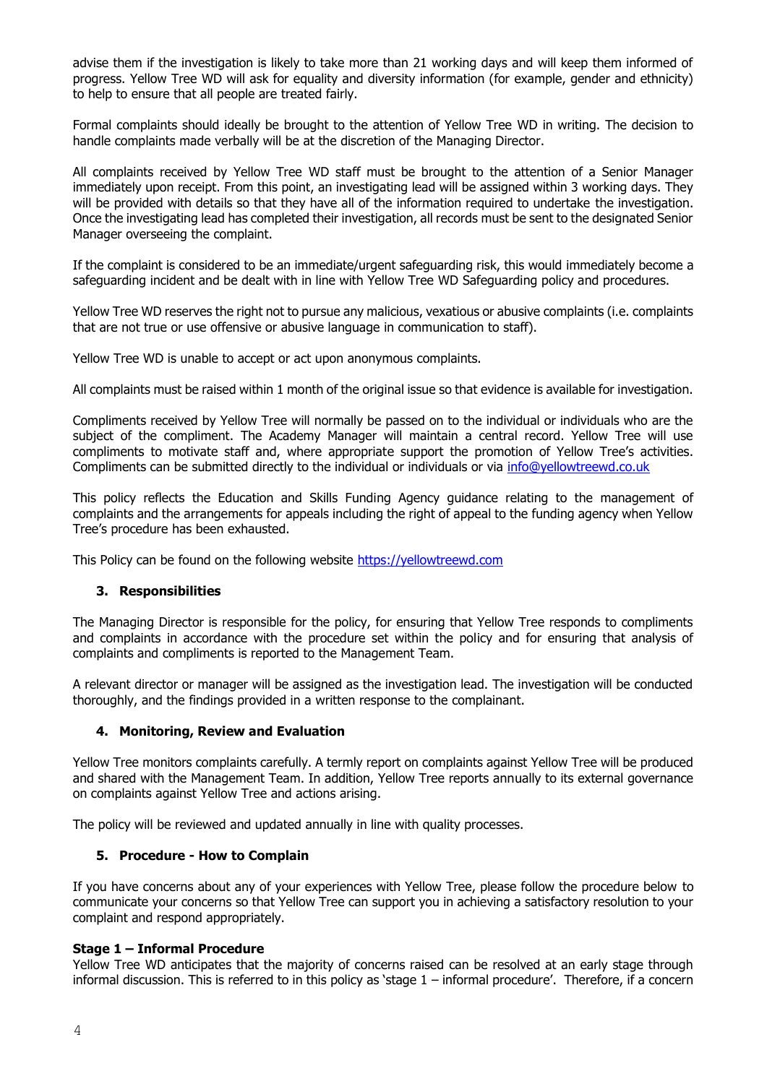advise them if the investigation is likely to take more than 21 working days and will keep them informed of progress. Yellow Tree WD will ask for equality and diversity information (for example, gender and ethnicity) to help to ensure that all people are treated fairly.

Formal complaints should ideally be brought to the attention of Yellow Tree WD in writing. The decision to handle complaints made verbally will be at the discretion of the Managing Director.

All complaints received by Yellow Tree WD staff must be brought to the attention of a Senior Manager immediately upon receipt. From this point, an investigating lead will be assigned within 3 working days. They will be provided with details so that they have all of the information required to undertake the investigation. Once the investigating lead has completed their investigation, all records must be sent to the designated Senior Manager overseeing the complaint.

If the complaint is considered to be an immediate/urgent safeguarding risk, this would immediately become a safeguarding incident and be dealt with in line with Yellow Tree WD Safeguarding policy and procedures.

Yellow Tree WD reserves the right not to pursue any malicious, vexatious or abusive complaints (i.e. complaints that are not true or use offensive or abusive language in communication to staff).

Yellow Tree WD is unable to accept or act upon anonymous complaints.

All complaints must be raised within 1 month of the original issue so that evidence is available for investigation.

Compliments received by Yellow Tree will normally be passed on to the individual or individuals who are the subject of the compliment. The Academy Manager will maintain a central record. Yellow Tree will use compliments to motivate staff and, where appropriate support the promotion of Yellow Tree's activities. Compliments can be submitted directly to the individual or individuals or via [info@yellowtreewd.co.uk](mailto:info@yellowtreewd.co.uk)

This policy reflects the Education and Skills Funding Agency guidance relating to the management of complaints and the arrangements for appeals including the right of appeal to the funding agency when Yellow Tree's procedure has been exhausted.

This Policy can be found on the following website [https://yellowtreewd.com](https://yellowtreewd.com/)

# **3. Responsibilities**

The Managing Director is responsible for the policy, for ensuring that Yellow Tree responds to compliments and complaints in accordance with the procedure set within the policy and for ensuring that analysis of complaints and compliments is reported to the Management Team.

A relevant director or manager will be assigned as the investigation lead. The investigation will be conducted thoroughly, and the findings provided in a written response to the complainant.

# **4. Monitoring, Review and Evaluation**

Yellow Tree monitors complaints carefully. A termly report on complaints against Yellow Tree will be produced and shared with the Management Team. In addition, Yellow Tree reports annually to its external governance on complaints against Yellow Tree and actions arising.

The policy will be reviewed and updated annually in line with quality processes.

# **5. Procedure - How to Complain**

If you have concerns about any of your experiences with Yellow Tree, please follow the procedure below to communicate your concerns so that Yellow Tree can support you in achieving a satisfactory resolution to your complaint and respond appropriately.

### **Stage 1 – Informal Procedure**

Yellow Tree WD anticipates that the majority of concerns raised can be resolved at an early stage through informal discussion. This is referred to in this policy as 'stage 1 – informal procedure'. Therefore, if a concern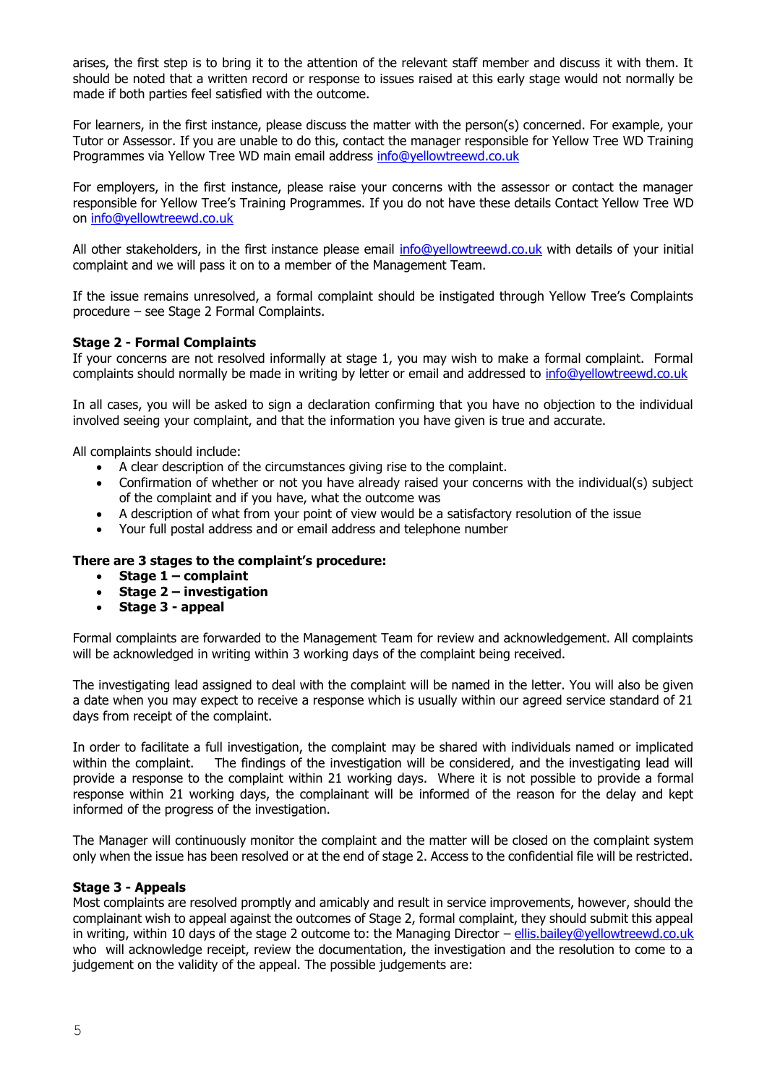arises, the first step is to bring it to the attention of the relevant staff member and discuss it with them. It should be noted that a written record or response to issues raised at this early stage would not normally be made if both parties feel satisfied with the outcome.

For learners, in the first instance, please discuss the matter with the person(s) concerned. For example, your Tutor or Assessor. If you are unable to do this, contact the manager responsible for Yellow Tree WD Training Programmes via Yellow Tree WD main email address [info@yellowtreewd.co.uk](mailto:info@yellowtreewd.co.uk)

For employers, in the first instance, please raise your concerns with the assessor or contact the manager responsible for Yellow Tree's Training Programmes. If you do not have these details Contact Yellow Tree WD on [info@yellowtreewd.co.uk](mailto:info@yellowtreewd.co.uk)

All other stakeholders, in the first instance please email [info@yellowtreewd.co.uk](mailto:info@yellowtreewd.co.uk) with details of your initial complaint and we will pass it on to a member of the Management Team.

If the issue remains unresolved, a formal complaint should be instigated through Yellow Tree's Complaints procedure – see Stage 2 Formal Complaints.

# **Stage 2 - Formal Complaints**

If your concerns are not resolved informally at stage 1, you may wish to make a formal complaint. Formal complaints should normally be made in writing by letter or email and addressed to [info@yellowtreewd.co.uk](mailto:info@yellowtreewd.co.uk)

In all cases, you will be asked to sign a declaration confirming that you have no objection to the individual involved seeing your complaint, and that the information you have given is true and accurate.

All complaints should include:

- A clear description of the circumstances giving rise to the complaint.
- Confirmation of whether or not you have already raised your concerns with the individual(s) subject of the complaint and if you have, what the outcome was
- A description of what from your point of view would be a satisfactory resolution of the issue
- Your full postal address and or email address and telephone number

# **There are 3 stages to the complaint's procedure:**

- **Stage 1 – complaint**
- **Stage 2 – investigation**
- **Stage 3 - appeal**

Formal complaints are forwarded to the Management Team for review and acknowledgement. All complaints will be acknowledged in writing within 3 working days of the complaint being received.

The investigating lead assigned to deal with the complaint will be named in the letter. You will also be given a date when you may expect to receive a response which is usually within our agreed service standard of 21 days from receipt of the complaint.

In order to facilitate a full investigation, the complaint may be shared with individuals named or implicated within the complaint. The findings of the investigation will be considered, and the investigating lead will provide a response to the complaint within 21 working days. Where it is not possible to provide a formal response within 21 working days, the complainant will be informed of the reason for the delay and kept informed of the progress of the investigation.

The Manager will continuously monitor the complaint and the matter will be closed on the complaint system only when the issue has been resolved or at the end of stage 2. Access to the confidential file will be restricted.

### **Stage 3 - Appeals**

Most complaints are resolved promptly and amicably and result in service improvements, however, should the complainant wish to appeal against the outcomes of Stage 2, formal complaint, they should submit this appeal in writing, within 10 days of the stage 2 outcome to: the Managing Director – [ellis.bailey@yellowtreewd.co.uk](mailto:ellis.bailey@yellowtreewd.co.uk) who will acknowledge receipt, review the documentation, the investigation and the resolution to come to a judgement on the validity of the appeal. The possible judgements are: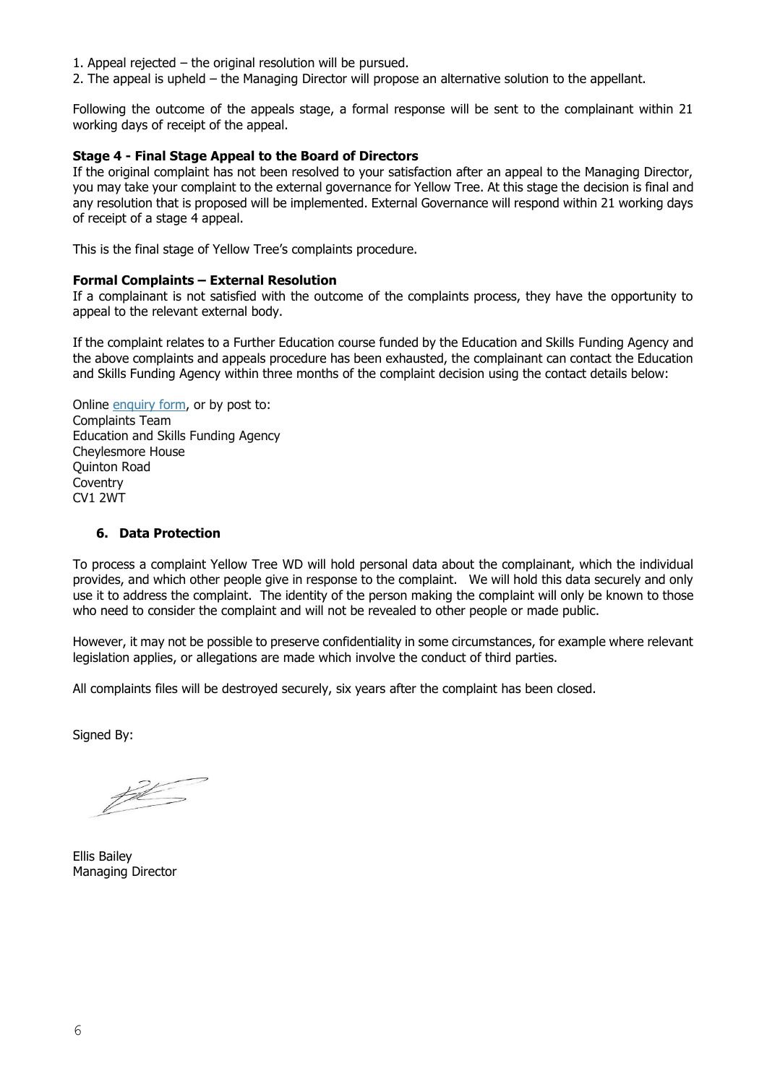- 1. Appeal rejected the original resolution will be pursued.
- 2. The appeal is upheld the Managing Director will propose an alternative solution to the appellant.

Following the outcome of the appeals stage, a formal response will be sent to the complainant within 21 working days of receipt of the appeal.

### **Stage 4 - Final Stage Appeal to the Board of Directors**

If the original complaint has not been resolved to your satisfaction after an appeal to the Managing Director, you may take your complaint to the external governance for Yellow Tree. At this stage the decision is final and any resolution that is proposed will be implemented. External Governance will respond within 21 working days of receipt of a stage 4 appeal.

This is the final stage of Yellow Tree's complaints procedure.

### **Formal Complaints – External Resolution**

If a complainant is not satisfied with the outcome of the complaints process, they have the opportunity to appeal to the relevant external body.

If the complaint relates to a Further Education course funded by the Education and Skills Funding Agency and the above complaints and appeals procedure has been exhausted, the complainant can contact the Education and Skills Funding Agency within three months of the complaint decision using the contact details below:

Online [enquiry](https://form.education.gov.uk/service/Contact_the_Department_for_Education) form, or by post to: Complaints Team Education and Skills Funding Agency Cheylesmore House Quinton Road **Coventry** CV1 2WT

# **6. Data Protection**

To process a complaint Yellow Tree WD will hold personal data about the complainant, which the individual provides, and which other people give in response to the complaint. We will hold this data securely and only use it to address the complaint. The identity of the person making the complaint will only be known to those who need to consider the complaint and will not be revealed to other people or made public.

However, it may not be possible to preserve confidentiality in some circumstances, for example where relevant legislation applies, or allegations are made which involve the conduct of third parties.

All complaints files will be destroyed securely, six years after the complaint has been closed.

Signed By:

 $#$ 

Ellis Bailey Managing Director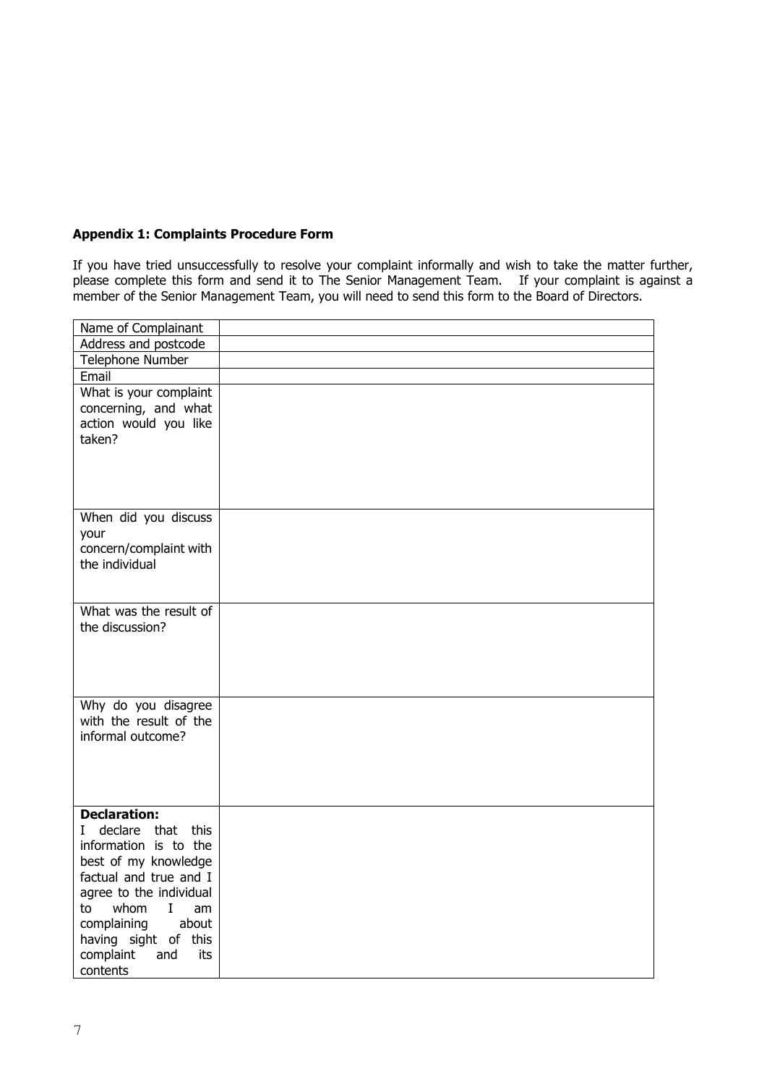# **Appendix 1: Complaints Procedure Form**

If you have tried unsuccessfully to resolve your complaint informally and wish to take the matter further, please complete this form and send it to The Senior Management Team. If your complaint is against a member of the Senior Management Team, you will need to send this form to the Board of Directors.

| Name of Complainant               |  |
|-----------------------------------|--|
| Address and postcode              |  |
| Telephone Number                  |  |
| Email                             |  |
| What is your complaint            |  |
| concerning, and what              |  |
| action would you like             |  |
| taken?                            |  |
|                                   |  |
|                                   |  |
|                                   |  |
|                                   |  |
| When did you discuss              |  |
| your<br>concern/complaint with    |  |
| the individual                    |  |
|                                   |  |
|                                   |  |
| What was the result of            |  |
| the discussion?                   |  |
|                                   |  |
|                                   |  |
|                                   |  |
|                                   |  |
| Why do you disagree               |  |
| with the result of the            |  |
| informal outcome?                 |  |
|                                   |  |
|                                   |  |
|                                   |  |
| <b>Declaration:</b>               |  |
| declare that this<br>$\mathbf{I}$ |  |
| information is to the             |  |
| best of my knowledge              |  |
| factual and true and I            |  |
| agree to the individual           |  |
| whom<br>$\mathbf{I}$<br>to<br>am  |  |
| about<br>complaining              |  |
| having sight of this              |  |
| complaint<br>and<br>its           |  |
| contents                          |  |